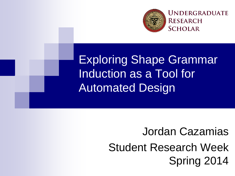

Exploring Shape Grammar Induction as a Tool for Automated Design

> Jordan Cazamias Student Research Week Spring 2014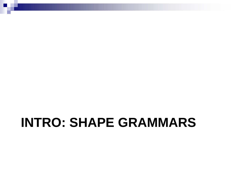#### **INTRO: SHAPE GRAMMARS**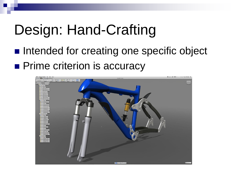## Design: Hand-Crafting

**Intended for creating one specific object Prime criterion is accuracy** 

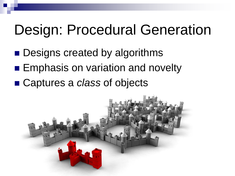#### Design: Procedural Generation

- **Designs created by algorithms**
- **Emphasis on variation and novelty**
- Captures a *class* of objects

![](_page_3_Picture_4.jpeg)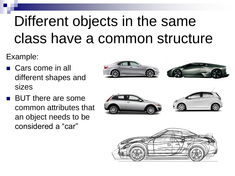# Different objects in the same class have a common structure

Example:

■ Cars come in all different shapes and sizes

![](_page_4_Picture_3.jpeg)

**BUT there are some** common attributes that an object needs to be considered a "car"

![](_page_4_Picture_5.jpeg)

![](_page_4_Picture_6.jpeg)

![](_page_4_Picture_7.jpeg)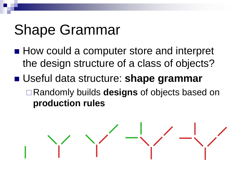## Shape Grammar

- How could a computer store and interpret the design structure of a class of objects?
- Useful data structure: **shape grammar** Randomly builds **designs** of objects based on **production rules**

$$
\frac{1}{\sqrt{2}}\left(\frac{1}{\sqrt{2}}\right)^{2}\left(\frac{1}{\sqrt{2}}\right)^{2}
$$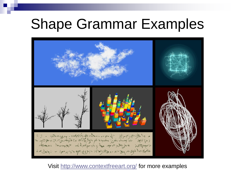#### Shape Grammar Examples

![](_page_6_Picture_1.jpeg)

Visit<http://www.contextfreeart.org/> for more examples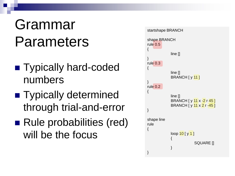## Grammar Parameters

- **Typically hard-coded** numbers
- **Typically determined** through trial-and-error
- Rule probabilities (red) will be the focus

![](_page_7_Figure_4.jpeg)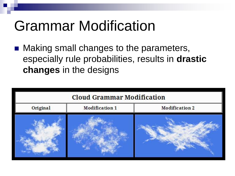## Grammar Modification

 Making small changes to the parameters, especially rule probabilities, results in **drastic changes** in the designs

![](_page_8_Figure_2.jpeg)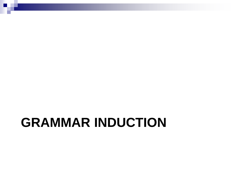#### **GRAMMAR INDUCTION**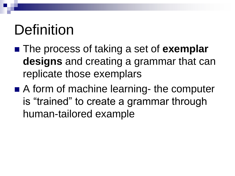## Definition

- The process of taking a set of **exemplar designs** and creating a grammar that can replicate those exemplars
- A form of machine learning- the computer is "trained" to create a grammar through human-tailored example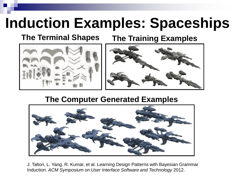## **Induction Examples: Spaceships**

**The Terminal Shapes The Training Examples**

![](_page_11_Picture_3.jpeg)

![](_page_11_Picture_4.jpeg)

#### **The Computer Generated Examples**

![](_page_11_Picture_6.jpeg)

J. Talton, L. Yang, R. Kumar, et al. Learning Design Patterns with Bayesian Grammar Induction. *ACM Symposium on User Interface Software and Technology* 2012.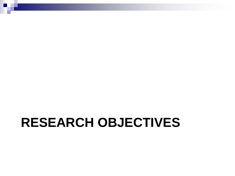#### **RESEARCH OBJECTIVES**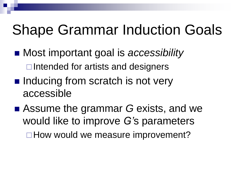## Shape Grammar Induction Goals

- Most important goal is *accessibility*  $\Box$ Intended for artists and designers
- Inducing from scratch is not very accessible
- Assume the grammar *G* exists, and we would like to improve *G'*s parameters □ How would we measure improvement?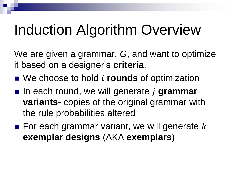## Induction Algorithm Overview

We are given a grammar, *G*, and want to optimize it based on a designer's **criteria**.

- We choose to hold *i* rounds of optimization
- In each round, we will generate *j* grammar **variants**- copies of the original grammar with the rule probabilities altered
- $\blacksquare$  For each grammar variant, we will generate k **exemplar designs** (AKA **exemplars**)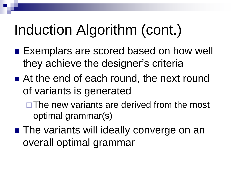## Induction Algorithm (cont.)

- Exemplars are scored based on how well they achieve the designer's criteria
- At the end of each round, the next round of variants is generated
	- $\square$  The new variants are derived from the most optimal grammar(s)
- The variants will ideally converge on an overall optimal grammar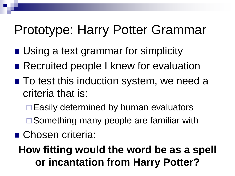#### Prototype: Harry Potter Grammar

- Using a text grammar for simplicity
- Recruited people I knew for evaluation
- To test this induction system, we need a criteria that is:
	- $\Box$  Easily determined by human evaluators
	- □ Something many people are familiar with
- Chosen criteria:
	- **How fitting would the word be as a spell or incantation from Harry Potter?**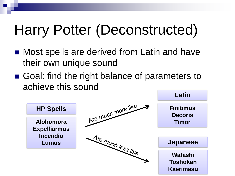## Harry Potter (Deconstructed)

- Most spells are derived from Latin and have their own unique sound
- Goal: find the right balance of parameters to achieve this sound

![](_page_17_Figure_3.jpeg)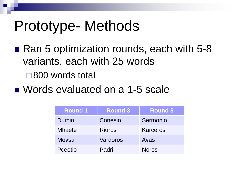#### Prototype- Methods

- Ran 5 optimization rounds, each with 5-8 variants, each with 25 words □800 words total
- Words evaluated on a 1-5 scale

| <b>Round 1</b> | <b>Round 3</b> | <b>Round 5</b>  |
|----------------|----------------|-----------------|
| Dumio          | Conesio        | Sermonio        |
| <b>Mhaete</b>  | <b>Riurus</b>  | <b>Karceros</b> |
| <b>Movsu</b>   | Vardoros       | Avas            |
| Pceetio        | Padri          | <b>Noros</b>    |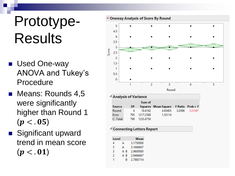## Prototype-Results

- **Used One-way** ANOVA and Tukey's Procedure
- Means: Rounds 4,5 were significantly higher than Round 1  $(p < .05)$
- Significant upward trend in mean score  $(p < .01)$

![](_page_19_Figure_4.jpeg)

| △ Analysis of Variance |      |           |                                     |        |           |  |  |
|------------------------|------|-----------|-------------------------------------|--------|-----------|--|--|
|                        |      | Sum of    |                                     |        |           |  |  |
| Source                 | DF.  |           | Squares Mean Square FRatio Prob > F |        |           |  |  |
| Round                  |      | 18.6162   | 4.65405                             | 3.0396 | $0.0168*$ |  |  |
| Error                  | 795. | 1217.2588 | 1.53114                             |        |           |  |  |
| C. Total               | 799  | 1235.8750 |                                     |        |           |  |  |

#### <sup>4</sup> Connecting Letters Report

| Level |     | Mean      |  |  |
|-------|-----|-----------|--|--|
| 4     | А   | 3.1750000 |  |  |
| 5     | А   | 3.1666667 |  |  |
| 3     | A R | 2.9600000 |  |  |
| 2     | ΑR  | 2.9466667 |  |  |
|       | R   | 2.7885714 |  |  |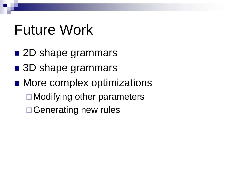#### Future Work

- 2D shape grammars
- 3D shape grammars
- More complex optimizations **□ Modifying other parameters** □ Generating new rules